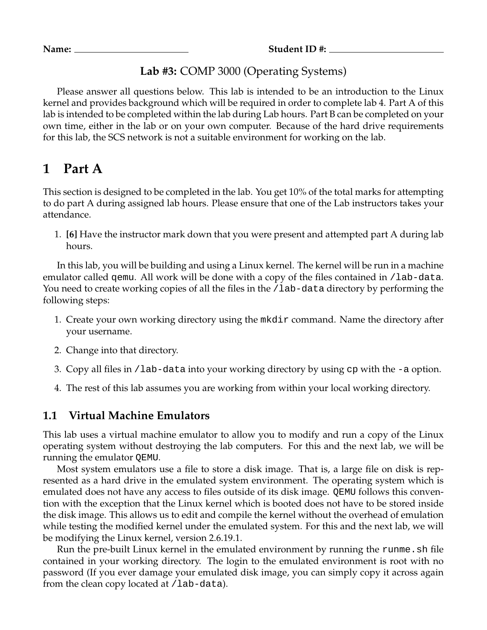**Name: Student ID #:**

### **Lab #3:** COMP 3000 (Operating Systems)

Please answer all questions below. This lab is intended to be an introduction to the Linux kernel and provides background which will be required in order to complete lab 4. Part A of this lab is intended to be completed within the lab during Lab hours. Part B can be completed on your own time, either in the lab or on your own computer. Because of the hard drive requirements for this lab, the SCS network is not a suitable environment for working on the lab.

## **1 Part A**

This section is designed to be completed in the lab. You get 10% of the total marks for attempting to do part A during assigned lab hours. Please ensure that one of the Lab instructors takes your attendance.

1. **[6]** Have the instructor mark down that you were present and attempted part A during lab hours.

In this lab, you will be building and using a Linux kernel. The kernel will be run in a machine emulator called gemu. All work will be done with a copy of the files contained in /lab-data. You need to create working copies of all the files in the /lab-data directory by performing the following steps:

- 1. Create your own working directory using the mkdir command. Name the directory after your username.
- 2. Change into that directory.
- 3. Copy all files in /lab-data into your working directory by using cp with the -a option.
- 4. The rest of this lab assumes you are working from within your local working directory.

#### **1.1 Virtual Machine Emulators**

This lab uses a virtual machine emulator to allow you to modify and run a copy of the Linux operating system without destroying the lab computers. For this and the next lab, we will be running the emulator QEMU.

Most system emulators use a file to store a disk image. That is, a large file on disk is represented as a hard drive in the emulated system environment. The operating system which is emulated does not have any access to files outside of its disk image. QEMU follows this convention with the exception that the Linux kernel which is booted does not have to be stored inside the disk image. This allows us to edit and compile the kernel without the overhead of emulation while testing the modified kernel under the emulated system. For this and the next lab, we will be modifying the Linux kernel, version 2.6.19.1.

Run the pre-built Linux kernel in the emulated environment by running the runme. sh file contained in your working directory. The login to the emulated environment is root with no password (If you ever damage your emulated disk image, you can simply copy it across again from the clean copy located at /lab-data).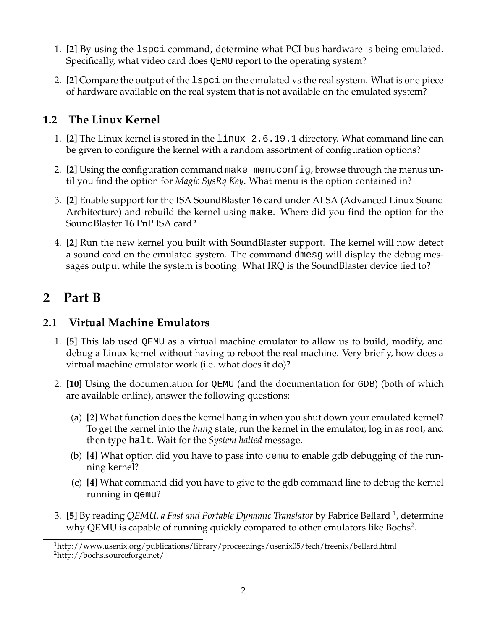- 1. **[2]** By using the lspci command, determine what PCI bus hardware is being emulated. Specifically, what video card does QEMU report to the operating system?
- 2. **[2]** Compare the output of the lspci on the emulated vs the real system. What is one piece of hardware available on the real system that is not available on the emulated system?

## **1.2 The Linux Kernel**

- 1. **[2]** The Linux kernel is stored in the linux-2.6.19.1 directory. What command line can be given to configure the kernel with a random assortment of configuration options?
- 2. **[2]** Using the configuration command make menuconfig, browse through the menus until you find the option for *Magic SysRq Key*. What menu is the option contained in?
- 3. **[2]** Enable support for the ISA SoundBlaster 16 card under ALSA (Advanced Linux Sound Architecture) and rebuild the kernel using make. Where did you find the option for the SoundBlaster 16 PnP ISA card?
- 4. **[2]** Run the new kernel you built with SoundBlaster support. The kernel will now detect a sound card on the emulated system. The command dmesg will display the debug messages output while the system is booting. What IRQ is the SoundBlaster device tied to?

# **2 Part B**

## **2.1 Virtual Machine Emulators**

- 1. **[5]** This lab used QEMU as a virtual machine emulator to allow us to build, modify, and debug a Linux kernel without having to reboot the real machine. Very briefly, how does a virtual machine emulator work (i.e. what does it do)?
- 2. **[10]** Using the documentation for QEMU (and the documentation for GDB) (both of which are available online), answer the following questions:
	- (a) **[2]** What function does the kernel hang in when you shut down your emulated kernel? To get the kernel into the *hung* state, run the kernel in the emulator, log in as root, and then type halt. Wait for the *System halted* message.
	- (b) **[4]** What option did you have to pass into qemu to enable gdb debugging of the running kernel?
	- (c) **[4]** What command did you have to give to the gdb command line to debug the kernel running in qemu?
- 3. **[5]** By reading *QEMU, a Fast and Portable Dynamic Translator* by Fabrice Bellard <sup>1</sup> , determine why QEMU is capable of running quickly compared to other emulators like Bochs<sup>2</sup>.

<sup>&</sup>lt;sup>1</sup>http://www.usenix.org/publications/library/proceedings/usenix05/tech/freenix/bellard.html <sup>2</sup>http://bochs.sourceforge.net/